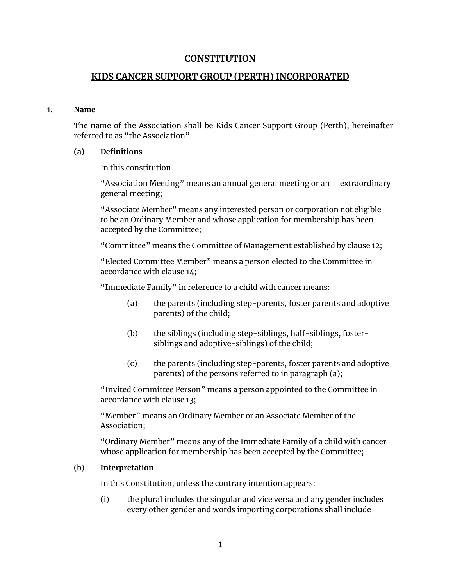# **CONSTITUTION**

# **KIDS CANCER SUPPORT GROUP (PERTH) INCORPORATED**

#### 1. **Name**

The name of the Association shall be Kids Cancer Support Group (Perth), hereinafter referred to as "the Association".

## **(a) Definitions**

In this constitution –

"Association Meeting" means an annual general meeting or an extraordinary general meeting;

"Associate Member" means any interested person or corporation not eligible to be an Ordinary Member and whose application for membership has been accepted by the Committee;

"Committee" means the Committee of Management established by clause 12;

"Elected Committee Member" means a person elected to the Committee in accordance with clause 14;

"Immediate Family" in reference to a child with cancer means:

- (a) the parents (including step-parents, foster parents and adoptive parents) of the child;
- (b) the siblings (including step-siblings, half-siblings, fostersiblings and adoptive-siblings) of the child;
- (c) the parents (including step-parents, foster parents and adoptive parents) of the persons referred to in paragraph (a);

"Invited Committee Person" means a person appointed to the Committee in accordance with clause 13;

"Member" means an Ordinary Member or an Associate Member of the Association;

"Ordinary Member" means any of the Immediate Family of a child with cancer whose application for membership has been accepted by the Committee;

### (b) **Interpretation**

In this Constitution, unless the contrary intention appears:

(i) the plural includes the singular and vice versa and any gender includes every other gender and words importing corporations shall include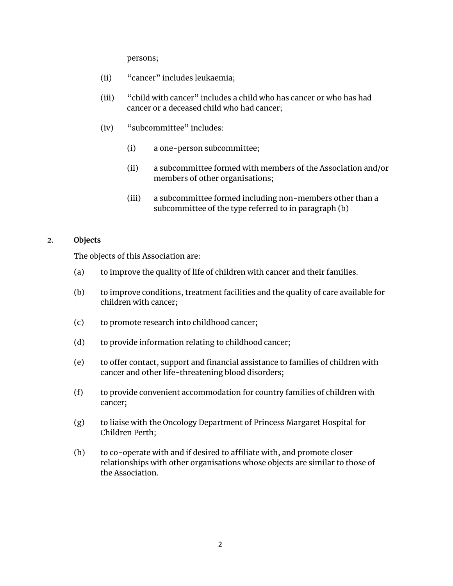persons;

- (ii) "cancer" includes leukaemia;
- (iii) "child with cancer" includes a child who has cancer or who has had cancer or a deceased child who had cancer;
- (iv) "subcommittee" includes:
	- (i) a one-person subcommittee;
	- (ii) a subcommittee formed with members of the Association and/or members of other organisations;
	- (iii) a subcommittee formed including non-members other than a subcommittee of the type referred to in paragraph (b)

## 2. **Objects**

The objects of this Association are:

- (a) to improve the quality of life of children with cancer and their families.
- (b) to improve conditions, treatment facilities and the quality of care available for children with cancer;
- (c) to promote research into childhood cancer;
- (d) to provide information relating to childhood cancer;
- (e) to offer contact, support and financial assistance to families of children with cancer and other life-threatening blood disorders;
- (f) to provide convenient accommodation for country families of children with cancer;
- (g) to liaise with the Oncology Department of Princess Margaret Hospital for Children Perth;
- (h) to co-operate with and if desired to affiliate with, and promote closer relationships with other organisations whose objects are similar to those of the Association.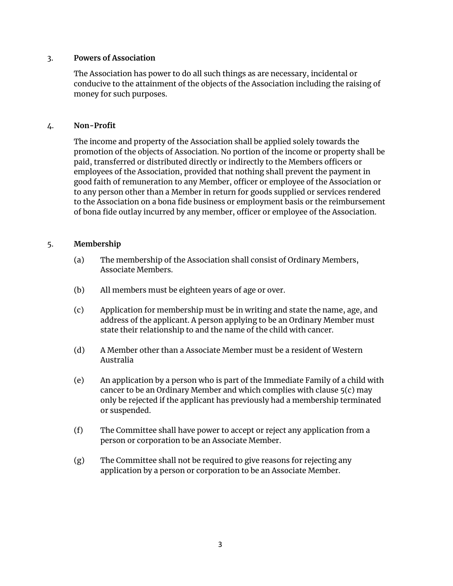## 3. **Powers of Association**

The Association has power to do all such things as are necessary, incidental or conducive to the attainment of the objects of the Association including the raising of money for such purposes.

## 4. **Non-Profit**

The income and property of the Association shall be applied solely towards the promotion of the objects of Association. No portion of the income or property shall be paid, transferred or distributed directly or indirectly to the Members officers or employees of the Association, provided that nothing shall prevent the payment in good faith of remuneration to any Member, officer or employee of the Association or to any person other than a Member in return for goods supplied or services rendered to the Association on a bona fide business or employment basis or the reimbursement of bona fide outlay incurred by any member, officer or employee of the Association.

## 5. **Membership**

- (a) The membership of the Association shall consist of Ordinary Members, Associate Members.
- (b) All members must be eighteen years of age or over.
- (c) Application for membership must be in writing and state the name, age, and address of the applicant. A person applying to be an Ordinary Member must state their relationship to and the name of the child with cancer.
- (d) A Member other than a Associate Member must be a resident of Western Australia
- (e) An application by a person who is part of the Immediate Family of a child with cancer to be an Ordinary Member and which complies with clause 5(c) may only be rejected if the applicant has previously had a membership terminated or suspended.
- (f) The Committee shall have power to accept or reject any application from a person or corporation to be an Associate Member.
- (g) The Committee shall not be required to give reasons for rejecting any application by a person or corporation to be an Associate Member.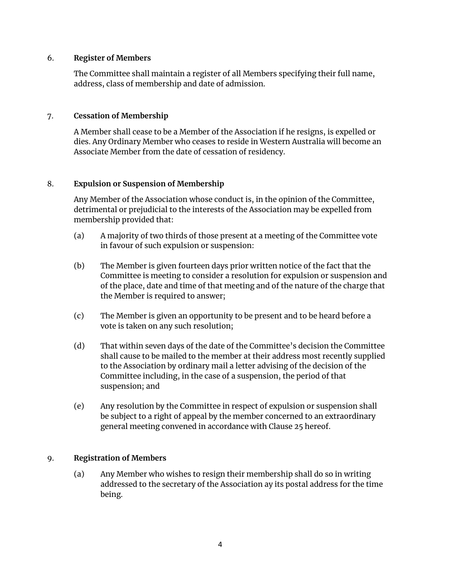## 6. **Register of Members**

The Committee shall maintain a register of all Members specifying their full name, address, class of membership and date of admission.

# 7. **Cessation of Membership**

A Member shall cease to be a Member of the Association if he resigns, is expelled or dies. Any Ordinary Member who ceases to reside in Western Australia will become an Associate Member from the date of cessation of residency.

# 8. **Expulsion or Suspension of Membership**

Any Member of the Association whose conduct is, in the opinion of the Committee, detrimental or prejudicial to the interests of the Association may be expelled from membership provided that:

- (a) A majority of two thirds of those present at a meeting of the Committee vote in favour of such expulsion or suspension:
- (b) The Member is given fourteen days prior written notice of the fact that the Committee is meeting to consider a resolution for expulsion or suspension and of the place, date and time of that meeting and of the nature of the charge that the Member is required to answer;
- (c) The Member is given an opportunity to be present and to be heard before a vote is taken on any such resolution;
- (d) That within seven days of the date of the Committee's decision the Committee shall cause to be mailed to the member at their address most recently supplied to the Association by ordinary mail a letter advising of the decision of the Committee including, in the case of a suspension, the period of that suspension; and
- (e) Any resolution by the Committee in respect of expulsion or suspension shall be subject to a right of appeal by the member concerned to an extraordinary general meeting convened in accordance with Clause 25 hereof.

## 9. **Registration of Members**

(a) Any Member who wishes to resign their membership shall do so in writing addressed to the secretary of the Association ay its postal address for the time being.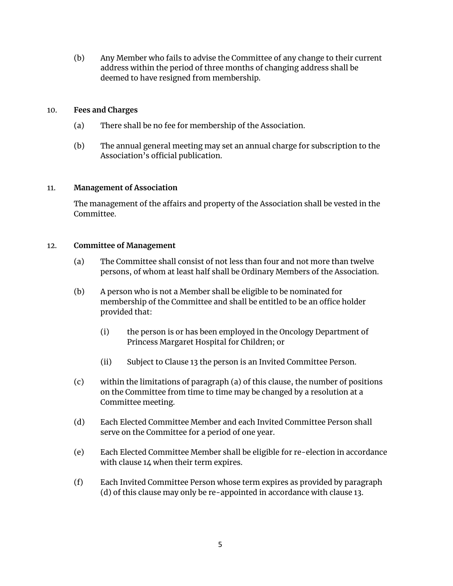(b) Any Member who fails to advise the Committee of any change to their current address within the period of three months of changing address shall be deemed to have resigned from membership.

# 10. **Fees and Charges**

- (a) There shall be no fee for membership of the Association.
- (b) The annual general meeting may set an annual charge for subscription to the Association's official publication.

## 11. **Management of Association**

The management of the affairs and property of the Association shall be vested in the Committee.

## 12. **Committee of Management**

- (a) The Committee shall consist of not less than four and not more than twelve persons, of whom at least half shall be Ordinary Members of the Association.
- (b) A person who is not a Member shall be eligible to be nominated for membership of the Committee and shall be entitled to be an office holder provided that:
	- (i) the person is or has been employed in the Oncology Department of Princess Margaret Hospital for Children; or
	- (ii) Subject to Clause 13 the person is an Invited Committee Person.
- (c) within the limitations of paragraph (a) of this clause, the number of positions on the Committee from time to time may be changed by a resolution at a Committee meeting.
- (d) Each Elected Committee Member and each Invited Committee Person shall serve on the Committee for a period of one year.
- (e) Each Elected Committee Member shall be eligible for re-election in accordance with clause 14 when their term expires.
- (f) Each Invited Committee Person whose term expires as provided by paragraph (d) of this clause may only be re-appointed in accordance with clause 13.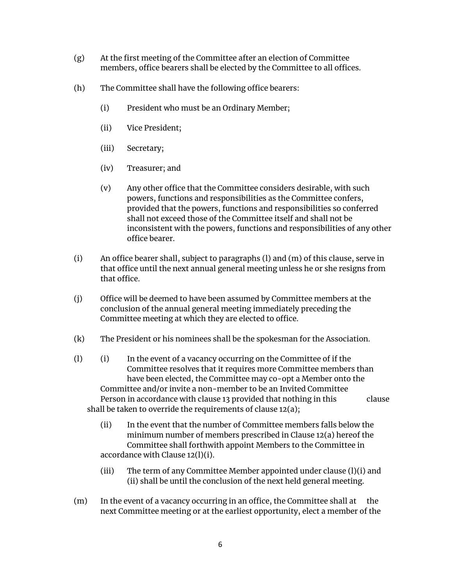- (g) At the first meeting of the Committee after an election of Committee members, office bearers shall be elected by the Committee to all offices.
- (h) The Committee shall have the following office bearers:
	- (i) President who must be an Ordinary Member;
	- (ii) Vice President;
	- (iii) Secretary;
	- (iv) Treasurer; and
	- (v) Any other office that the Committee considers desirable, with such powers, functions and responsibilities as the Committee confers, provided that the powers, functions and responsibilities so conferred shall not exceed those of the Committee itself and shall not be inconsistent with the powers, functions and responsibilities of any other office bearer.
- (i) An office bearer shall, subject to paragraphs (l) and (m) of this clause, serve in that office until the next annual general meeting unless he or she resigns from that office.
- (j) Office will be deemed to have been assumed by Committee members at the conclusion of the annual general meeting immediately preceding the Committee meeting at which they are elected to office.
- (k) The President or his nominees shall be the spokesman for the Association.
- (l) (i) In the event of a vacancy occurring on the Committee of if the Committee resolves that it requires more Committee members than have been elected, the Committee may co-opt a Member onto the Committee and/or invite a non-member to be an Invited Committee Person in accordance with clause 13 provided that nothing in this clause shall be taken to override the requirements of clause 12(a);
	- (ii) In the event that the number of Committee members falls below the minimum number of members prescribed in Clause 12(a) hereof the Committee shall forthwith appoint Members to the Committee in accordance with Clause 12(l)(i).
	- (iii) The term of any Committee Member appointed under clause (l)(i) and (ii) shall be until the conclusion of the next held general meeting.
- (m) In the event of a vacancy occurring in an office, the Committee shall at the next Committee meeting or at the earliest opportunity, elect a member of the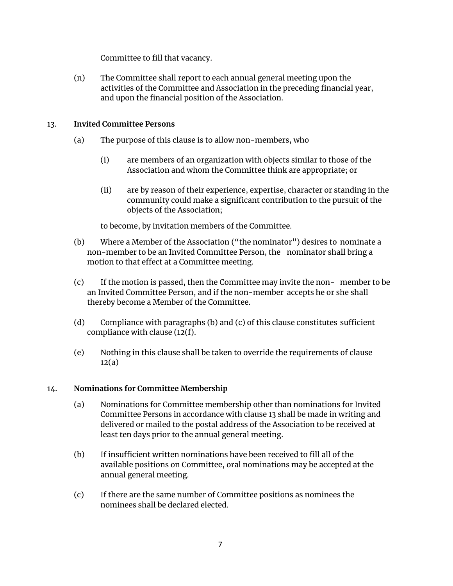Committee to fill that vacancy.

(n) The Committee shall report to each annual general meeting upon the activities of the Committee and Association in the preceding financial year, and upon the financial position of the Association.

# 13. **Invited Committee Persons**

- (a) The purpose of this clause is to allow non-members, who
	- (i) are members of an organization with objects similar to those of the Association and whom the Committee think are appropriate; or
	- (ii) are by reason of their experience, expertise, character or standing in the community could make a significant contribution to the pursuit of the objects of the Association;

to become, by invitation members of the Committee.

- (b) Where a Member of the Association ("the nominator") desires to nominate a non-member to be an Invited Committee Person, the nominator shall bring a motion to that effect at a Committee meeting.
- (c) If the motion is passed, then the Committee may invite the non- member to be an Invited Committee Person, and if the non-member accepts he or she shall thereby become a Member of the Committee.
- (d) Compliance with paragraphs (b) and (c) of this clause constitutes sufficient compliance with clause (12(f).
- (e) Nothing in this clause shall be taken to override the requirements of clause  $12(a)$

## 14. **Nominations for Committee Membership**

- (a) Nominations for Committee membership other than nominations for Invited Committee Persons in accordance with clause 13 shall be made in writing and delivered or mailed to the postal address of the Association to be received at least ten days prior to the annual general meeting.
- (b) If insufficient written nominations have been received to fill all of the available positions on Committee, oral nominations may be accepted at the annual general meeting.
- (c) If there are the same number of Committee positions as nominees the nominees shall be declared elected.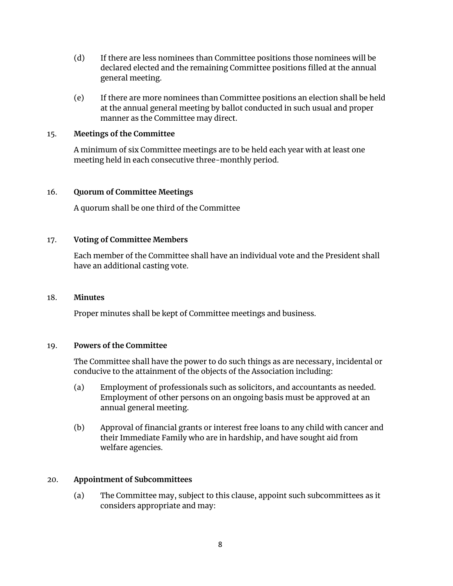- (d) If there are less nominees than Committee positions those nominees will be declared elected and the remaining Committee positions filled at the annual general meeting.
- (e) If there are more nominees than Committee positions an election shall be held at the annual general meeting by ballot conducted in such usual and proper manner as the Committee may direct.

## 15. **Meetings of the Committee**

A minimum of six Committee meetings are to be held each year with at least one meeting held in each consecutive three-monthly period.

## 16. **Quorum of Committee Meetings**

A quorum shall be one third of the Committee

## 17. **Voting of Committee Members**

Each member of the Committee shall have an individual vote and the President shall have an additional casting vote.

#### 18. **Minutes**

Proper minutes shall be kept of Committee meetings and business.

#### 19. **Powers of the Committee**

The Committee shall have the power to do such things as are necessary, incidental or conducive to the attainment of the objects of the Association including:

- (a) Employment of professionals such as solicitors, and accountants as needed. Employment of other persons on an ongoing basis must be approved at an annual general meeting.
- (b) Approval of financial grants or interest free loans to any child with cancer and their Immediate Family who are in hardship, and have sought aid from welfare agencies.

#### 20. **Appointment of Subcommittees**

(a) The Committee may, subject to this clause, appoint such subcommittees as it considers appropriate and may: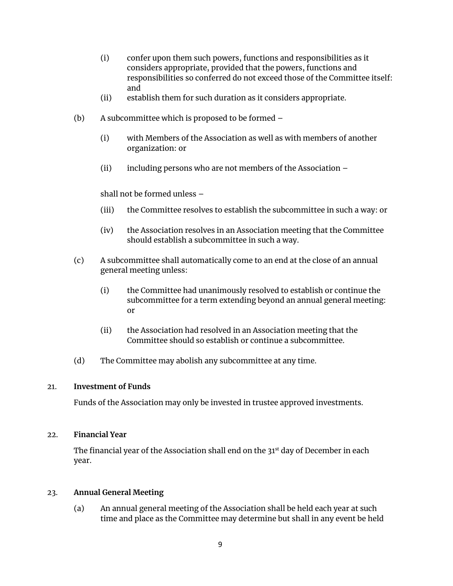- (i) confer upon them such powers, functions and responsibilities as it considers appropriate, provided that the powers, functions and responsibilities so conferred do not exceed those of the Committee itself: and
- (ii) establish them for such duration as it considers appropriate.
- (b) A subcommittee which is proposed to be formed
	- (i) with Members of the Association as well as with members of another organization: or
	- (ii) including persons who are not members of the Association –

## shall not be formed unless –

- (iii) the Committee resolves to establish the subcommittee in such a way: or
- (iv) the Association resolves in an Association meeting that the Committee should establish a subcommittee in such a way.
- (c) A subcommittee shall automatically come to an end at the close of an annual general meeting unless:
	- (i) the Committee had unanimously resolved to establish or continue the subcommittee for a term extending beyond an annual general meeting: or
	- (ii) the Association had resolved in an Association meeting that the Committee should so establish or continue a subcommittee.
- (d) The Committee may abolish any subcommittee at any time.

## 21. **Investment of Funds**

Funds of the Association may only be invested in trustee approved investments.

## 22. **Financial Year**

The financial year of the Association shall end on the 31<sup>st</sup> day of December in each year.

## 23. **Annual General Meeting**

(a) An annual general meeting of the Association shall be held each year at such time and place as the Committee may determine but shall in any event be held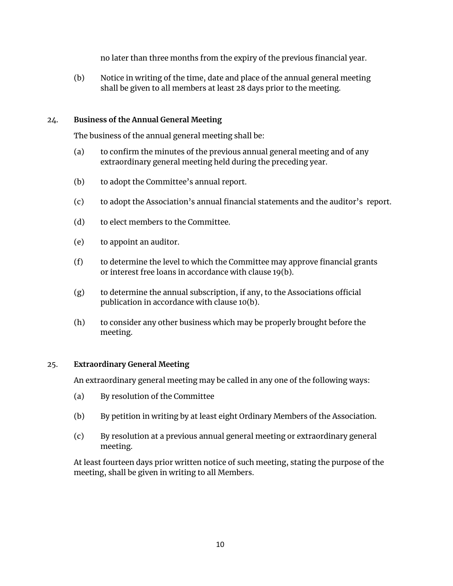no later than three months from the expiry of the previous financial year.

(b) Notice in writing of the time, date and place of the annual general meeting shall be given to all members at least 28 days prior to the meeting.

# 24. **Business of the Annual General Meeting**

The business of the annual general meeting shall be:

- (a) to confirm the minutes of the previous annual general meeting and of any extraordinary general meeting held during the preceding year.
- (b) to adopt the Committee's annual report.
- (c) to adopt the Association's annual financial statements and the auditor's report.
- (d) to elect members to the Committee.
- (e) to appoint an auditor.
- (f) to determine the level to which the Committee may approve financial grants or interest free loans in accordance with clause 19(b).
- (g) to determine the annual subscription, if any, to the Associations official publication in accordance with clause 10(b).
- (h) to consider any other business which may be properly brought before the meeting.

## 25. **Extraordinary General Meeting**

An extraordinary general meeting may be called in any one of the following ways:

- (a) By resolution of the Committee
- (b) By petition in writing by at least eight Ordinary Members of the Association.
- (c) By resolution at a previous annual general meeting or extraordinary general meeting.

At least fourteen days prior written notice of such meeting, stating the purpose of the meeting, shall be given in writing to all Members.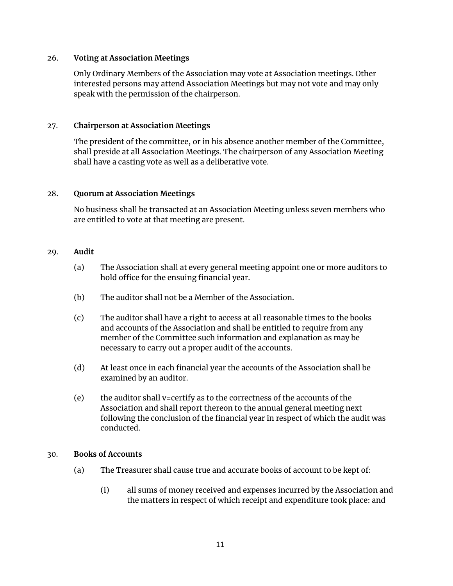## 26. **Voting at Association Meetings**

Only Ordinary Members of the Association may vote at Association meetings. Other interested persons may attend Association Meetings but may not vote and may only speak with the permission of the chairperson.

## 27. **Chairperson at Association Meetings**

The president of the committee, or in his absence another member of the Committee, shall preside at all Association Meetings. The chairperson of any Association Meeting shall have a casting vote as well as a deliberative vote.

## 28. **Quorum at Association Meetings**

No business shall be transacted at an Association Meeting unless seven members who are entitled to vote at that meeting are present.

## 29. **Audit**

- (a) The Association shall at every general meeting appoint one or more auditors to hold office for the ensuing financial year.
- (b) The auditor shall not be a Member of the Association.
- (c) The auditor shall have a right to access at all reasonable times to the books and accounts of the Association and shall be entitled to require from any member of the Committee such information and explanation as may be necessary to carry out a proper audit of the accounts.
- (d) At least once in each financial year the accounts of the Association shall be examined by an auditor.
- (e) the auditor shall v=certify as to the correctness of the accounts of the Association and shall report thereon to the annual general meeting next following the conclusion of the financial year in respect of which the audit was conducted.

## 30. **Books of Accounts**

- (a) The Treasurer shall cause true and accurate books of account to be kept of:
	- (i) all sums of money received and expenses incurred by the Association and the matters in respect of which receipt and expenditure took place: and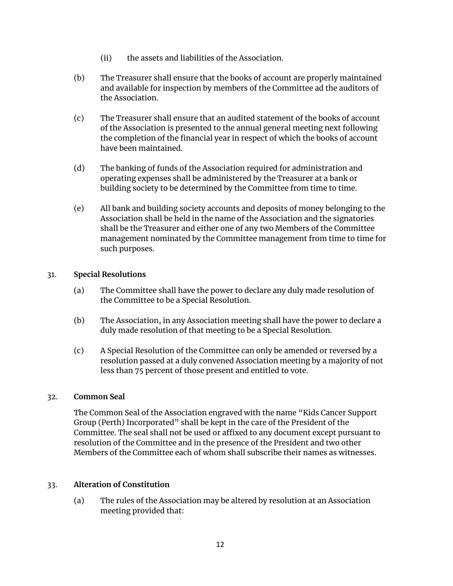- (ii) the assets and liabilities of the Association.
- (b) The Treasurer shall ensure that the books of account are properly maintained and available for inspection by members of the Committee ad the auditors of the Association.
- (c) The Treasurer shall ensure that an audited statement of the books of account of the Association is presented to the annual general meeting next following the completion of the financial year in respect of which the books of account have been maintained.
- (d) The banking of funds of the Association required for administration and operating expenses shall be administered by the Treasurer at a bank or building society to be determined by the Committee from time to time.
- (e) All bank and building society accounts and deposits of money belonging to the Association shall be held in the name of the Association and the signatories shall be the Treasurer and either one of any two Members of the Committee management nominated by the Committee management from time to time for such purposes.

# 31. **Special Resolutions**

- (a) The Committee shall have the power to declare any duly made resolution of the Committee to be a Special Resolution.
- (b) The Association, in any Association meeting shall have the power to declare a duly made resolution of that meeting to be a Special Resolution.
- (c) A Special Resolution of the Committee can only be amended or reversed by a resolution passed at a duly convened Association meeting by a majority of not less than 75 percent of those present and entitled to vote.

## 32. **Common Seal**

The Common Seal of the Association engraved with the name "Kids Cancer Support Group (Perth) Incorporated" shall be kept in the care of the President of the Committee. The seal shall not be used or affixed to any document except pursuant to resolution of the Committee and in the presence of the President and two other Members of the Committee each of whom shall subscribe their names as witnesses.

# 33. **Alteration of Constitution**

(a) The rules of the Association may be altered by resolution at an Association meeting provided that: